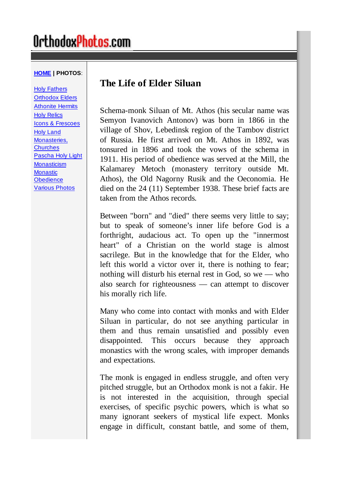# OrthodoxPhotos.com

#### **HOME | PHOTOS**:

Holy Fathers Orthodox Elders Athonite Hermits Holy Relics Icons & Frescoes Holy Land Monasteries, **Churches** Pascha Holy Light **Monasticism Monastic Obedience** Various Photos

# **The Life of Elder Siluan**

Schema-monk Siluan of Mt. Athos (his secular name was Semyon Ivanovich Antonov) was born in 1866 in the village of Shov, Lebedinsk region of the Tambov district of Russia. He first arrived on Mt. Athos in 1892, was tonsured in 1896 and took the vows of the schema in 1911. His period of obedience was served at the Mill, the Kalamarey Metoch (monastery territory outside Mt. Athos), the Old Nagorny Rusik and the Oeconomia. He died on the 24 (11) September 1938. These brief facts are taken from the Athos records.

Between "born" and "died" there seems very little to say; but to speak of someone's inner life before God is a forthright, audacious act. To open up the "innermost heart" of a Christian on the world stage is almost sacrilege. But in the knowledge that for the Elder, who left this world a victor over it, there is nothing to fear; nothing will disturb his eternal rest in God, so we — who also search for righteousness — can attempt to discover his morally rich life.

Many who come into contact with monks and with Elder Siluan in particular, do not see anything particular in them and thus remain unsatisfied and possibly even disappointed. This occurs because they approach monastics with the wrong scales, with improper demands and expectations.

The monk is engaged in endless struggle, and often very pitched struggle, but an Orthodox monk is not a fakir. He is not interested in the acquisition, through special exercises, of specific psychic powers, which is what so many ignorant seekers of mystical life expect. Monks engage in difficult, constant battle, and some of them,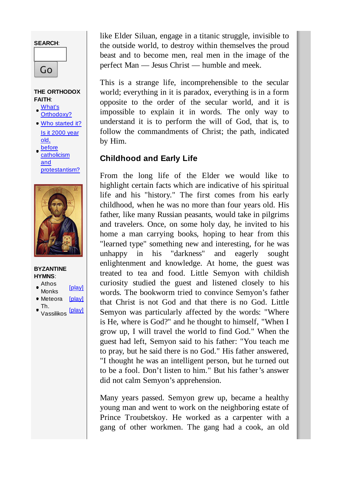# **SEARCH**: Go

#### **THE ORTHODOX FAITH**:

- What's Orthodoxy?
- Who started it? Is it 2000 year old, before
- **catholicism** and protestantism?



- **BYZANTINE HYMNS**:
- Athos
- Atrius<br>Monks [play]
- Meteora [play]
- Th. Vassilikos [play]

like Elder Siluan, engage in a titanic struggle, invisible to the outside world, to destroy within themselves the proud beast and to become men, real men in the image of the perfect Man — Jesus Christ — humble and meek.

This is a strange life, incomprehensible to the secular world; everything in it is paradox, everything is in a form opposite to the order of the secular world, and it is impossible to explain it in words. The only way to understand it is to perform the will of God, that is, to follow the commandments of Christ; the path, indicated by Him.

# **Childhood and Early Life**

From the long life of the Elder we would like to highlight certain facts which are indicative of his spiritual life and his "history." The first comes from his early childhood, when he was no more than four years old. His father, like many Russian peasants, would take in pilgrims and travelers. Once, on some holy day, he invited to his home a man carrying books, hoping to hear from this "learned type" something new and interesting, for he was unhappy in his "darkness" and eagerly sought enlightenment and knowledge. At home, the guest was treated to tea and food. Little Semyon with childish curiosity studied the guest and listened closely to his words. The bookworm tried to convince Semyon's father that Christ is not God and that there is no God. Little Semyon was particularly affected by the words: "Where is He, where is God?" and he thought to himself, "When I grow up, I will travel the world to find God." When the guest had left, Semyon said to his father: "You teach me to pray, but he said there is no God." His father answered, "I thought he was an intelligent person, but he turned out to be a fool. Don't listen to him." But his father's answer did not calm Semyon's apprehension.

Many years passed. Semyon grew up, became a healthy young man and went to work on the neighboring estate of Prince Troubetskoy. He worked as a carpenter with a gang of other workmen. The gang had a cook, an old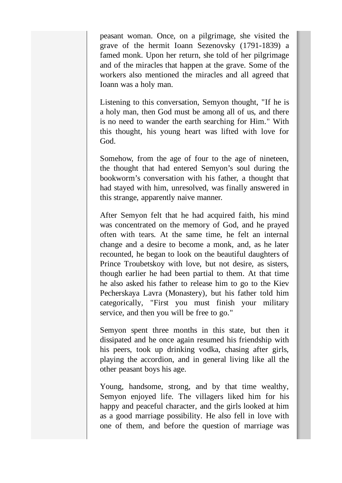peasant woman. Once, on a pilgrimage, she visited the grave of the hermit Ioann Sezenovsky (1791-1839) a famed monk. Upon her return, she told of her pilgrimage and of the miracles that happen at the grave. Some of the workers also mentioned the miracles and all agreed that Ioann was a holy man.

Listening to this conversation, Semyon thought, "If he is a holy man, then God must be among all of us, and there is no need to wander the earth searching for Him." With this thought, his young heart was lifted with love for God.

Somehow, from the age of four to the age of nineteen, the thought that had entered Semyon's soul during the bookworm's conversation with his father, a thought that had stayed with him, unresolved, was finally answered in this strange, apparently naive manner.

After Semyon felt that he had acquired faith, his mind was concentrated on the memory of God, and he prayed often with tears. At the same time, he felt an internal change and a desire to become a monk, and, as he later recounted, he began to look on the beautiful daughters of Prince Troubetskoy with love, but not desire, as sisters, though earlier he had been partial to them. At that time he also asked his father to release him to go to the Kiev Pecherskaya Lavra (Monastery), but his father told him categorically, "First you must finish your military service, and then you will be free to go."

Semyon spent three months in this state, but then it dissipated and he once again resumed his friendship with his peers, took up drinking vodka, chasing after girls, playing the accordion, and in general living like all the other peasant boys his age.

Young, handsome, strong, and by that time wealthy, Semyon enjoyed life. The villagers liked him for his happy and peaceful character, and the girls looked at him as a good marriage possibility. He also fell in love with one of them, and before the question of marriage was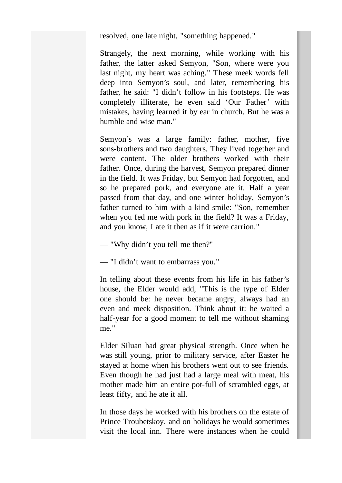resolved, one late night, "something happened."

Strangely, the next morning, while working with his father, the latter asked Semyon, "Son, where were you last night, my heart was aching." These meek words fell deep into Semyon's soul, and later, remembering his father, he said: "I didn't follow in his footsteps. He was completely illiterate, he even said 'Our Father' with mistakes, having learned it by ear in church. But he was a humble and wise man."

Semyon's was a large family: father, mother, five sons-brothers and two daughters. They lived together and were content. The older brothers worked with their father. Once, during the harvest, Semyon prepared dinner in the field. It was Friday, but Semyon had forgotten, and so he prepared pork, and everyone ate it. Half a year passed from that day, and one winter holiday, Semyon's father turned to him with a kind smile: "Son, remember when you fed me with pork in the field? It was a Friday, and you know, I ate it then as if it were carrion."

— "Why didn't you tell me then?"

— "I didn't want to embarrass you."

In telling about these events from his life in his father's house, the Elder would add, "This is the type of Elder one should be: he never became angry, always had an even and meek disposition. Think about it: he waited a half-year for a good moment to tell me without shaming me."

Elder Siluan had great physical strength. Once when he was still young, prior to military service, after Easter he stayed at home when his brothers went out to see friends. Even though he had just had a large meal with meat, his mother made him an entire pot-full of scrambled eggs, at least fifty, and he ate it all.

In those days he worked with his brothers on the estate of Prince Troubetskoy, and on holidays he would sometimes visit the local inn. There were instances when he could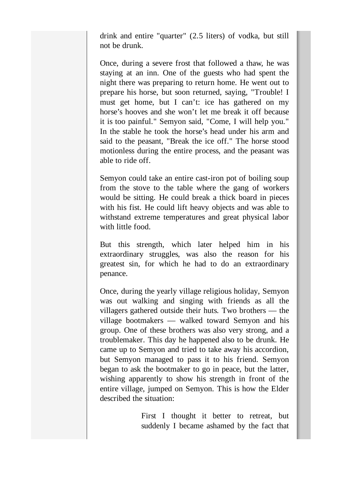drink and entire "quarter" (2.5 liters) of vodka, but still not be drunk.

Once, during a severe frost that followed a thaw, he was staying at an inn. One of the guests who had spent the night there was preparing to return home. He went out to prepare his horse, but soon returned, saying, "Trouble! I must get home, but I can't: ice has gathered on my horse's hooves and she won't let me break it off because it is too painful." Semyon said, "Come, I will help you." In the stable he took the horse's head under his arm and said to the peasant, "Break the ice off." The horse stood motionless during the entire process, and the peasant was able to ride off.

Semyon could take an entire cast-iron pot of boiling soup from the stove to the table where the gang of workers would be sitting. He could break a thick board in pieces with his fist. He could lift heavy objects and was able to withstand extreme temperatures and great physical labor with little food.

But this strength, which later helped him in his extraordinary struggles, was also the reason for his greatest sin, for which he had to do an extraordinary penance.

Once, during the yearly village religious holiday, Semyon was out walking and singing with friends as all the villagers gathered outside their huts. Two brothers — the village bootmakers — walked toward Semyon and his group. One of these brothers was also very strong, and a troublemaker. This day he happened also to be drunk. He came up to Semyon and tried to take away his accordion, but Semyon managed to pass it to his friend. Semyon began to ask the bootmaker to go in peace, but the latter, wishing apparently to show his strength in front of the entire village, jumped on Semyon. This is how the Elder described the situation:

> First I thought it better to retreat, but suddenly I became ashamed by the fact that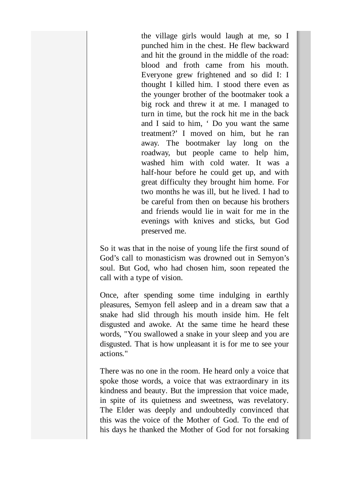the village girls would laugh at me, so I punched him in the chest. He flew backward and hit the ground in the middle of the road: blood and froth came from his mouth. Everyone grew frightened and so did I: I thought I killed him. I stood there even as the younger brother of the bootmaker took a big rock and threw it at me. I managed to turn in time, but the rock hit me in the back and I said to him, ' Do you want the same treatment?' I moved on him, but he ran away. The bootmaker lay long on the roadway, but people came to help him, washed him with cold water. It was a half-hour before he could get up, and with great difficulty they brought him home. For two months he was ill, but he lived. I had to be careful from then on because his brothers and friends would lie in wait for me in the evenings with knives and sticks, but God preserved me.

So it was that in the noise of young life the first sound of God's call to monasticism was drowned out in Semyon's soul. But God, who had chosen him, soon repeated the call with a type of vision.

Once, after spending some time indulging in earthly pleasures, Semyon fell asleep and in a dream saw that a snake had slid through his mouth inside him. He felt disgusted and awoke. At the same time he heard these words, "You swallowed a snake in your sleep and you are disgusted. That is how unpleasant it is for me to see your actions."

There was no one in the room. He heard only a voice that spoke those words, a voice that was extraordinary in its kindness and beauty. But the impression that voice made, in spite of its quietness and sweetness, was revelatory. The Elder was deeply and undoubtedly convinced that this was the voice of the Mother of God. To the end of his days he thanked the Mother of God for not forsaking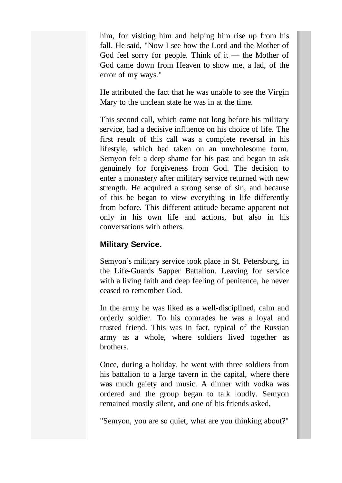him, for visiting him and helping him rise up from his fall. He said, "Now I see how the Lord and the Mother of God feel sorry for people. Think of it  $-$  the Mother of God came down from Heaven to show me, a lad, of the error of my ways."

He attributed the fact that he was unable to see the Virgin Mary to the unclean state he was in at the time.

This second call, which came not long before his military service, had a decisive influence on his choice of life. The first result of this call was a complete reversal in his lifestyle, which had taken on an unwholesome form. Semyon felt a deep shame for his past and began to ask genuinely for forgiveness from God. The decision to enter a monastery after military service returned with new strength. He acquired a strong sense of sin, and because of this he began to view everything in life differently from before. This different attitude became apparent not only in his own life and actions, but also in his conversations with others.

### **Military Service.**

Semyon's military service took place in St. Petersburg, in the Life-Guards Sapper Battalion. Leaving for service with a living faith and deep feeling of penitence, he never ceased to remember God.

In the army he was liked as a well-disciplined, calm and orderly soldier. To his comrades he was a loyal and trusted friend. This was in fact, typical of the Russian army as a whole, where soldiers lived together as brothers.

Once, during a holiday, he went with three soldiers from his battalion to a large tavern in the capital, where there was much gaiety and music. A dinner with vodka was ordered and the group began to talk loudly. Semyon remained mostly silent, and one of his friends asked,

"Semyon, you are so quiet, what are you thinking about?"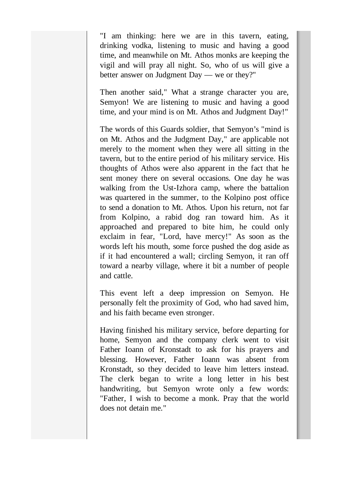"I am thinking: here we are in this tavern, eating, drinking vodka, listening to music and having a good time, and meanwhile on Mt. Athos monks are keeping the vigil and will pray all night. So, who of us will give a better answer on Judgment Day — we or they?"

Then another said," What a strange character you are, Semyon! We are listening to music and having a good time, and your mind is on Mt. Athos and Judgment Day!"

The words of this Guards soldier, that Semyon's "mind is on Mt. Athos and the Judgment Day," are applicable not merely to the moment when they were all sitting in the tavern, but to the entire period of his military service. His thoughts of Athos were also apparent in the fact that he sent money there on several occasions. One day he was walking from the Ust-Izhora camp, where the battalion was quartered in the summer, to the Kolpino post office to send a donation to Mt. Athos. Upon his return, not far from Kolpino, a rabid dog ran toward him. As it approached and prepared to bite him, he could only exclaim in fear, "Lord, have mercy!" As soon as the words left his mouth, some force pushed the dog aside as if it had encountered a wall; circling Semyon, it ran off toward a nearby village, where it bit a number of people and cattle.

This event left a deep impression on Semyon. He personally felt the proximity of God, who had saved him, and his faith became even stronger.

Having finished his military service, before departing for home, Semyon and the company clerk went to visit Father Ioann of Kronstadt to ask for his prayers and blessing. However, Father Ioann was absent from Kronstadt, so they decided to leave him letters instead. The clerk began to write a long letter in his best handwriting, but Semyon wrote only a few words: "Father, I wish to become a monk. Pray that the world does not detain me."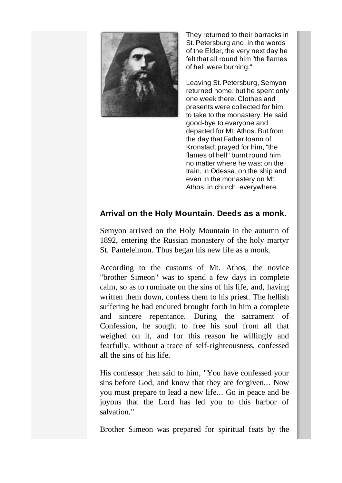

They returned to their barracks in St. Petersburg and, in the words of the Elder, the very next day he felt that all round him "the flames of hell were burning."

Leaving St. Petersburg, Semyon returned home, but he spent only one week there. Clothes and presents were collected for him to take to the monastery. He said good-bye to everyone and departed for Mt. Athos. But from the day that Father Ioann of Kronstadt prayed for him, "the flames of hell" burnt round him no matter where he was: on the train, in Odessa, on the ship and even in the monastery on Mt. Athos, in church, everywhere.

## **Arrival on the Holy Mountain. Deeds as a monk.**

Semyon arrived on the Holy Mountain in the autumn of 1892, entering the Russian monastery of the holy martyr St. Panteleimon. Thus began his new life as a monk.

According to the customs of Mt. Athos, the novice "brother Simeon" was to spend a few days in complete calm, so as to ruminate on the sins of his life, and, having written them down, confess them to his priest. The hellish suffering he had endured brought forth in him a complete and sincere repentance. During the sacrament of Confession, he sought to free his soul from all that weighed on it, and for this reason he willingly and fearfully, without a trace of self-righteousness, confessed all the sins of his life.

His confessor then said to him, "You have confessed your sins before God, and know that they are forgiven... Now you must prepare to lead a new life... Go in peace and be joyous that the Lord has led you to this harbor of salvation."

Brother Simeon was prepared for spiritual feats by the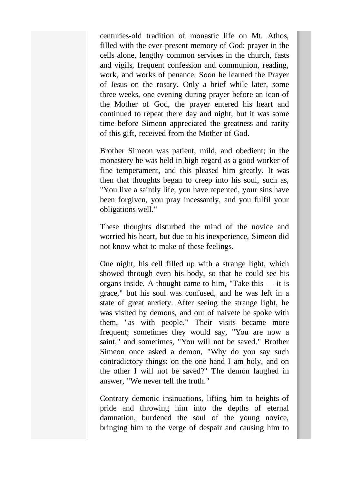centuries-old tradition of monastic life on Mt. Athos, filled with the ever-present memory of God: prayer in the cells alone, lengthy common services in the church, fasts and vigils, frequent confession and communion, reading, work, and works of penance. Soon he learned the Prayer of Jesus on the rosary. Only a brief while later, some three weeks, one evening during prayer before an icon of the Mother of God, the prayer entered his heart and continued to repeat there day and night, but it was some time before Simeon appreciated the greatness and rarity of this gift, received from the Mother of God.

Brother Simeon was patient, mild, and obedient; in the monastery he was held in high regard as a good worker of fine temperament, and this pleased him greatly. It was then that thoughts began to creep into his soul, such as, "You live a saintly life, you have repented, your sins have been forgiven, you pray incessantly, and you fulfil your obligations well."

These thoughts disturbed the mind of the novice and worried his heart, but due to his inexperience, Simeon did not know what to make of these feelings.

One night, his cell filled up with a strange light, which showed through even his body, so that he could see his organs inside. A thought came to him, "Take this — it is grace," but his soul was confused, and he was left in a state of great anxiety. After seeing the strange light, he was visited by demons, and out of naivete he spoke with them, "as with people." Their visits became more frequent; sometimes they would say, "You are now a saint," and sometimes, "You will not be saved." Brother Simeon once asked a demon, "Why do you say such contradictory things: on the one hand I am holy, and on the other I will not be saved?" The demon laughed in answer, "We never tell the truth."

Contrary demonic insinuations, lifting him to heights of pride and throwing him into the depths of eternal damnation, burdened the soul of the young novice, bringing him to the verge of despair and causing him to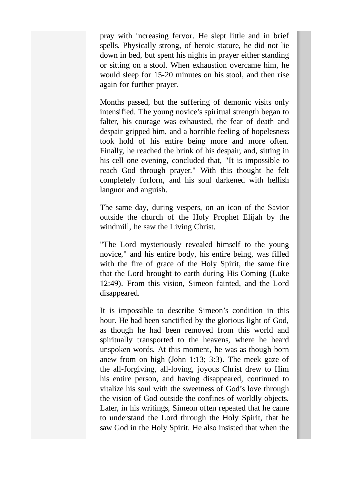pray with increasing fervor. He slept little and in brief spells. Physically strong, of heroic stature, he did not lie down in bed, but spent his nights in prayer either standing or sitting on a stool. When exhaustion overcame him, he would sleep for 15-20 minutes on his stool, and then rise again for further prayer.

Months passed, but the suffering of demonic visits only intensified. The young novice's spiritual strength began to falter, his courage was exhausted, the fear of death and despair gripped him, and a horrible feeling of hopelesness took hold of his entire being more and more often. Finally, he reached the brink of his despair, and, sitting in his cell one evening, concluded that, "It is impossible to reach God through prayer." With this thought he felt completely forlorn, and his soul darkened with hellish languor and anguish.

The same day, during vespers, on an icon of the Savior outside the church of the Holy Prophet Elijah by the windmill, he saw the Living Christ.

"The Lord mysteriously revealed himself to the young novice," and his entire body, his entire being, was filled with the fire of grace of the Holy Spirit, the same fire that the Lord brought to earth during His Coming (Luke 12:49). From this vision, Simeon fainted, and the Lord disappeared.

It is impossible to describe Simeon's condition in this hour. He had been sanctified by the glorious light of God, as though he had been removed from this world and spiritually transported to the heavens, where he heard unspoken words. At this moment, he was as though born anew from on high (John 1:13; 3:3). The meek gaze of the all-forgiving, all-loving, joyous Christ drew to Him his entire person, and having disappeared, continued to vitalize his soul with the sweetness of God's love through the vision of God outside the confines of worldly objects. Later, in his writings, Simeon often repeated that he came to understand the Lord through the Holy Spirit, that he saw God in the Holy Spirit. He also insisted that when the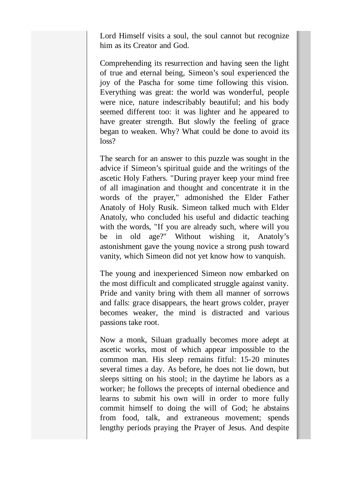Lord Himself visits a soul, the soul cannot but recognize him as its Creator and God.

Comprehending its resurrection and having seen the light of true and eternal being, Simeon's soul experienced the joy of the Pascha for some time following this vision. Everything was great: the world was wonderful, people were nice, nature indescribably beautiful; and his body seemed different too: it was lighter and he appeared to have greater strength. But slowly the feeling of grace began to weaken. Why? What could be done to avoid its loss?

The search for an answer to this puzzle was sought in the advice if Simeon's spiritual guide and the writings of the ascetic Holy Fathers. "During prayer keep your mind free of all imagination and thought and concentrate it in the words of the prayer," admonished the Elder Father Anatoly of Holy Rusik. Simeon talked much with Elder Anatoly, who concluded his useful and didactic teaching with the words, "If you are already such, where will you be in old age?" Without wishing it, Anatoly's astonishment gave the young novice a strong push toward vanity, which Simeon did not yet know how to vanquish.

The young and inexperienced Simeon now embarked on the most difficult and complicated struggle against vanity. Pride and vanity bring with them all manner of sorrows and falls: grace disappears, the heart grows colder, prayer becomes weaker, the mind is distracted and various passions take root.

Now a monk, Siluan gradually becomes more adept at ascetic works, most of which appear impossible to the common man. His sleep remains fitful: 15-20 minutes several times a day. As before, he does not lie down, but sleeps sitting on his stool; in the daytime he labors as a worker; he follows the precepts of internal obedience and learns to submit his own will in order to more fully commit himself to doing the will of God; he abstains from food, talk, and extraneous movement; spends lengthy periods praying the Prayer of Jesus. And despite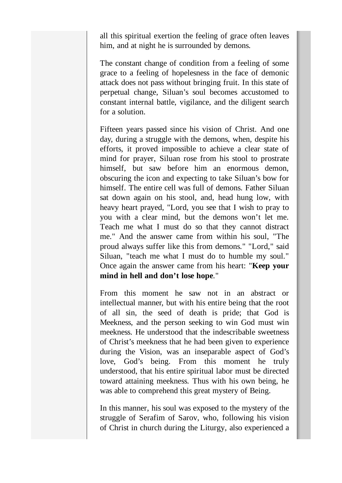all this spiritual exertion the feeling of grace often leaves him, and at night he is surrounded by demons.

The constant change of condition from a feeling of some grace to a feeling of hopelesness in the face of demonic attack does not pass without bringing fruit. In this state of perpetual change, Siluan's soul becomes accustomed to constant internal battle, vigilance, and the diligent search for a solution.

Fifteen years passed since his vision of Christ. And one day, during a struggle with the demons, when, despite his efforts, it proved impossible to achieve a clear state of mind for prayer, Siluan rose from his stool to prostrate himself, but saw before him an enormous demon, obscuring the icon and expecting to take Siluan's bow for himself. The entire cell was full of demons. Father Siluan sat down again on his stool, and, head hung low, with heavy heart prayed, "Lord, you see that I wish to pray to you with a clear mind, but the demons won't let me. Teach me what I must do so that they cannot distract me." And the answer came from within his soul, "The proud always suffer like this from demons." "Lord," said Siluan, "teach me what I must do to humble my soul." Once again the answer came from his heart: "**Keep your mind in hell and don't lose hope**."

From this moment he saw not in an abstract or intellectual manner, but with his entire being that the root of all sin, the seed of death is pride; that God is Meekness, and the person seeking to win God must win meekness. He understood that the indescribable sweetness of Christ's meekness that he had been given to experience during the Vision, was an inseparable aspect of God's love, God's being. From this moment he truly understood, that his entire spiritual labor must be directed toward attaining meekness. Thus with his own being, he was able to comprehend this great mystery of Being.

In this manner, his soul was exposed to the mystery of the struggle of Serafim of Sarov, who, following his vision of Christ in church during the Liturgy, also experienced a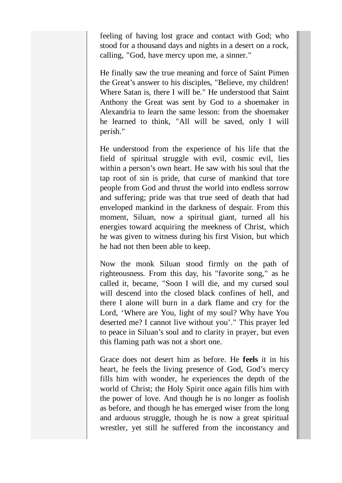feeling of having lost grace and contact with God; who stood for a thousand days and nights in a desert on a rock, calling, "God, have mercy upon me, a sinner."

He finally saw the true meaning and force of Saint Pimen the Great's answer to his disciples, "Believe, my children! Where Satan is, there I will be." He understood that Saint Anthony the Great was sent by God to a shoemaker in Alexandria to learn the same lesson: from the shoemaker he learned to think, "All will be saved, only I will perish."

He understood from the experience of his life that the field of spiritual struggle with evil, cosmic evil, lies within a person's own heart. He saw with his soul that the tap root of sin is pride, that curse of mankind that tore people from God and thrust the world into endless sorrow and suffering; pride was that true seed of death that had enveloped mankind in the darkness of despair. From this moment, Siluan, now a spiritual giant, turned all his energies toward acquiring the meekness of Christ, which he was given to witness during his first Vision, but which he had not then been able to keep.

Now the monk Siluan stood firmly on the path of righteousness. From this day, his "favorite song," as he called it, became, "Soon I will die, and my cursed soul will descend into the closed black confines of hell, and there I alone will burn in a dark flame and cry for the Lord, 'Where are You, light of my soul? Why have You deserted me? I cannot live without you'." This prayer led to peace in Siluan's soul and to clarity in prayer, but even this flaming path was not a short one.

Grace does not desert him as before. He **feels** it in his heart, he feels the living presence of God, God's mercy fills him with wonder, he experiences the depth of the world of Christ; the Holy Spirit once again fills him with the power of love. And though he is no longer as foolish as before, and though he has emerged wiser from the long and arduous struggle, though he is now a great spiritual wrestler, yet still he suffered from the inconstancy and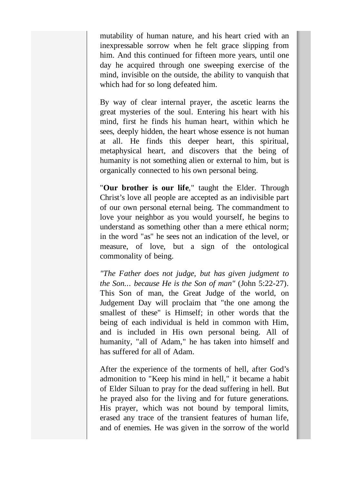mutability of human nature, and his heart cried with an inexpressable sorrow when he felt grace slipping from him. And this continued for fifteen more years, until one day he acquired through one sweeping exercise of the mind, invisible on the outside, the ability to vanquish that which had for so long defeated him.

By way of clear internal prayer, the ascetic learns the great mysteries of the soul. Entering his heart with his mind, first he finds his human heart, within which he sees, deeply hidden, the heart whose essence is not human at all. He finds this deeper heart, this spiritual, metaphysical heart, and discovers that the being of humanity is not something alien or external to him, but is organically connected to his own personal being.

"**Our brother is our life**," taught the Elder. Through Christ's love all people are accepted as an indivisible part of our own personal eternal being. The commandment to love your neighbor as you would yourself, he begins to understand as something other than a mere ethical norm; in the word "as" he sees not an indication of the level, or measure, of love, but a sign of the ontological commonality of being.

*"The Father does not judge, but has given judgment to the Son... because He is the Son of man"* (John 5:22-27). This Son of man, the Great Judge of the world, on Judgement Day will proclaim that "the one among the smallest of these" is Himself; in other words that the being of each individual is held in common with Him, and is included in His own personal being. All of humanity, "all of Adam," he has taken into himself and has suffered for all of Adam.

After the experience of the torments of hell, after God's admonition to "Keep his mind in hell," it became a habit of Elder Siluan to pray for the dead suffering in hell. But he prayed also for the living and for future generations. His prayer, which was not bound by temporal limits, erased any trace of the transient features of human life, and of enemies. He was given in the sorrow of the world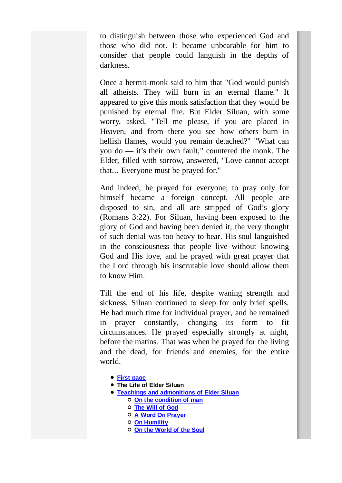to distinguish between those who experienced God and those who did not. It became unbearable for him to consider that people could languish in the depths of darkness.

Once a hermit-monk said to him that "God would punish all atheists. They will burn in an eternal flame." It appeared to give this monk satisfaction that they would be punished by eternal fire. But Elder Siluan, with some worry, asked, "Tell me please, if you are placed in Heaven, and from there you see how others burn in hellish flames, would you remain detached?" "What can you do — it's their own fault," countered the monk. The Elder, filled with sorrow, answered, "Love cannot accept that... Everyone must be prayed for."

And indeed, he prayed for everyone; to pray only for himself became a foreign concept. All people are disposed to sin, and all are stripped of God's glory (Romans 3:22). For Siluan, having been exposed to the glory of God and having been denied it, the very thought of such denial was too heavy to bear. His soul languished in the consciousness that people live without knowing God and His love, and he prayed with great prayer that the Lord through his inscrutable love should allow them to know Him.

Till the end of his life, despite waning strength and sickness, Siluan continued to sleep for only brief spells. He had much time for individual prayer, and he remained in prayer constantly, changing its form to fit circumstances. He prayed especially strongly at night, before the matins. That was when he prayed for the living and the dead, for friends and enemies, for the entire world.

- **First page**
- **The Life of Elder Siluan**
- **Teachings and admonitions of Elder Siluan On the condition of man**
	- **The Will of God**
	- **A Word On Prayer**
	- **On Humility**
	- **On the World of the Soul**